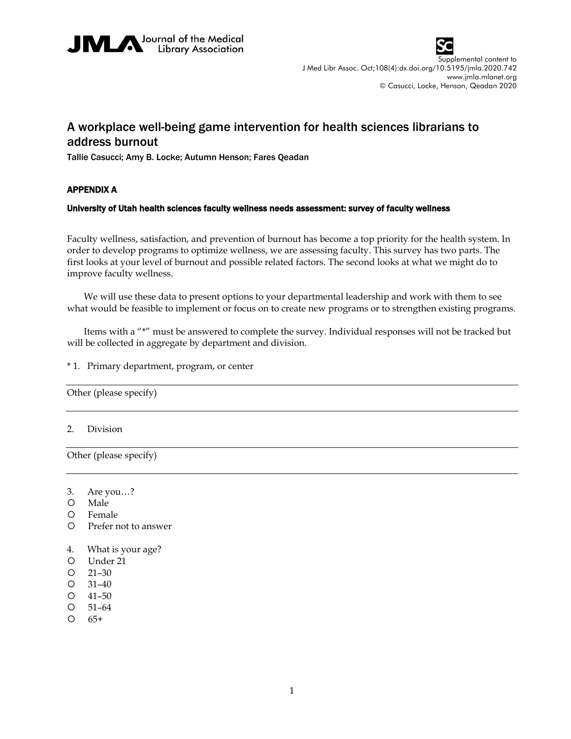



## A workplace well-being game intervention for health sciences librarians to address burnout

Tallie Casucci; Amy B. Locke; Autumn Henson; Fares Qeadan

## APPENDIX A

## University of Utah health sciences faculty wellness needs assessment: survey of faculty wellness

Faculty wellness, satisfaction, and prevention of burnout has become a top priority for the health system. In order to develop programs to optimize wellness, we are assessing faculty. This survey has two parts. The first looks at your level of burnout and possible related factors. The second looks at what we might do to improve faculty wellness.

We will use these data to present options to your departmental leadership and work with them to see what would be feasible to implement or focus on to create new programs or to strengthen existing programs.

Items with a "\*" must be answered to complete the survey. Individual responses will not be tracked but will be collected in aggregate by department and division.

\* 1. Primary department, program, or center

Other (please specify)

2. Division

Other (please specify)

- 3. Are you…?
- Male
- Female
- Prefer not to answer
- 4. What is your age?
- Under 21
- $O$  21–30
- 31–40
- 41–50
- 51–64
- $O \t 65+$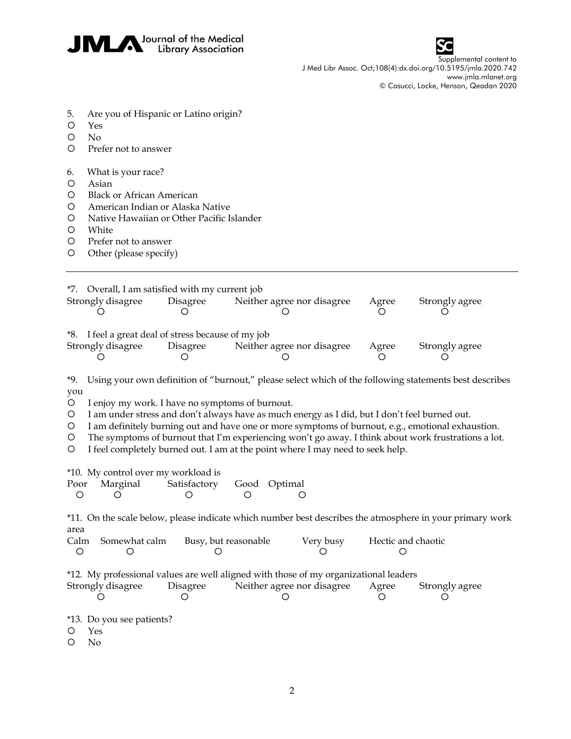



- 5. Are you of Hispanic or Latino origin?
- Yes
- O No
- Prefer not to answer
- 6. What is your race?
- Asian
- Black or African American
- American Indian or Alaska Native
- Native Hawaiian or Other Pacific Islander
- White
- Prefer not to answer
- Other (please specify)

| *7. Overall, I am satisfied with my current job     |          |                            |                |                |  |  |  |
|-----------------------------------------------------|----------|----------------------------|----------------|----------------|--|--|--|
| Strongly disagree                                   | Disagree | Agree                      | Strongly agree |                |  |  |  |
|                                                     |          |                            |                |                |  |  |  |
|                                                     |          |                            |                |                |  |  |  |
| *8. I feel a great deal of stress because of my job |          |                            |                |                |  |  |  |
| Strongly disagree                                   | Disagree | Neither agree nor disagree | Agree          | Strongly agree |  |  |  |
|                                                     |          |                            |                |                |  |  |  |

\*9. Using your own definition of "burnout," please select which of the following statements best describes you

I enjoy my work. I have no symptoms of burnout.

I am under stress and don't always have as much energy as I did, but I don't feel burned out.

I am definitely burning out and have one or more symptoms of burnout, e.g., emotional exhaustion.

- The symptoms of burnout that I'm experiencing won't go away. I think about work frustrations a lot.
- I feel completely burned out. I am at the point where I may need to seek help.

\*10. My control over my workload is

|          | Poor Marginal                                 | Satisfactory Good Optimal                     |                          |         |
|----------|-----------------------------------------------|-----------------------------------------------|--------------------------|---------|
| <u>റ</u> | $\left( \begin{array}{c} \end{array} \right)$ | $\left( \begin{array}{c} \end{array} \right)$ | $\overline{\phantom{a}}$ | $\circ$ |

\*11. On the scale below, please indicate which number best describes the atmosphere in your primary work area

|  | Calm Somewhat calm Busy, but reasonable | Very busy | Hectic and chaotic |  |
|--|-----------------------------------------|-----------|--------------------|--|
|  |                                         |           |                    |  |

| *12. My professional values are well aligned with those of my organizational leaders |                            |       |                |  |  |  |  |
|--------------------------------------------------------------------------------------|----------------------------|-------|----------------|--|--|--|--|
| Strongly disagree<br>Disagree                                                        | Neither agree nor disagree | Agree | Strongly agree |  |  |  |  |

\*13. Do you see patients?

Yes

O No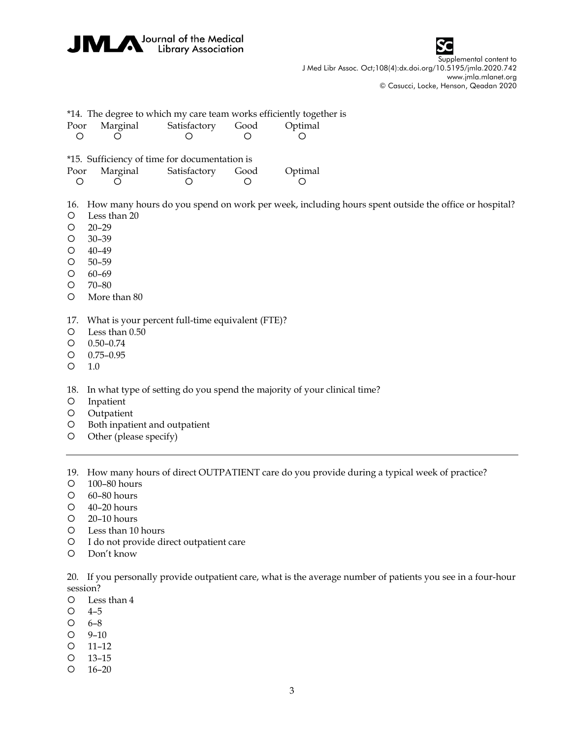



| Poor<br>O                                   | *14. The degree to which my care team works efficiently together is<br>Marginal<br>O                        | Satisfactory<br>O | Good<br>O | Optimal<br>O                                                                                        |
|---------------------------------------------|-------------------------------------------------------------------------------------------------------------|-------------------|-----------|-----------------------------------------------------------------------------------------------------|
| Poor<br>$\circ$                             | *15. Sufficiency of time for documentation is<br>Marginal<br>$\circ$                                        | Satisfactory<br>O | Good<br>O | Optimal<br>O                                                                                        |
| 16.<br>O<br>O<br>O<br>O<br>O<br>O<br>O<br>O | Less than 20<br>$20 - 29$<br>30-39<br>$40 - 49$<br>50-59<br>$60 - 69$<br>$70 - 80$<br>More than 80          |                   |           | How many hours do you spend on work per week, including hours spent outside the office or hospital? |
| 17.<br>O<br>O<br>O<br>O                     | What is your percent full-time equivalent (FTE)?<br>Less than 0.50<br>$0.50 - 0.74$<br>$0.75 - 0.95$<br>1.0 |                   |           |                                                                                                     |
| 18.<br>O<br>O<br>O<br>$\circ$               | Inpatient<br>Outpatient<br>Both inpatient and outpatient<br>Other (please specify)                          |                   |           | In what type of setting do you spend the majority of your clinical time?                            |

19. How many hours of direct OUTPATIENT care do you provide during a typical week of practice?

- 100–80 hours
- 60–80 hours
- 40–20 hours
- 20–10 hours
- Less than 10 hours
- I do not provide direct outpatient care
- Don't know

20. If you personally provide outpatient care, what is the average number of patients you see in a four-hour session?

- Less than 4
- 4–5
- 6–8
- 9–10
- 11–12
- 13–15
- $O = 16 20$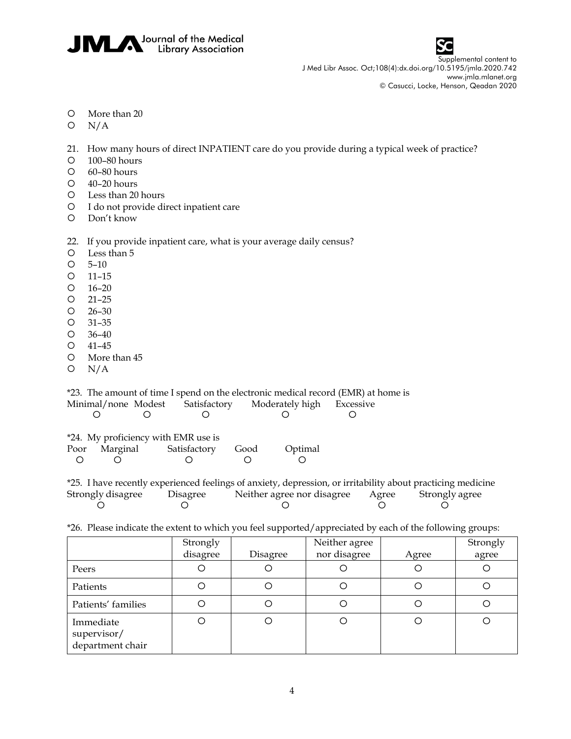



- More than 20
- $O$  N/A
- 21. How many hours of direct INPATIENT care do you provide during a typical week of practice?
- 100–80 hours
- 60–80 hours
- 40–20 hours
- Less than 20 hours
- I do not provide direct inpatient care
- Don't know
- 22. If you provide inpatient care, what is your average daily census?
- Less than 5
- 5–10
- 11–15
- 16–20
- 21–25
- $O$  26–30
- 31–35
- 36–40
- 41–45
- More than 45
- $O \quad N/A$

\*23. The amount of time I spend on the electronic medical record (EMR) at home is Minimal/none Modest Satisfactory Moderately high Excessive

 $\circ$   $\circ$   $\circ$   $\circ$   $\circ$   $\circ$ 

| *24. My proficiency with EMR use is |                            |                  |         |  |  |  |
|-------------------------------------|----------------------------|------------------|---------|--|--|--|
|                                     | Poor Marginal Satisfactory | Good             | Optimal |  |  |  |
|                                     | $\left( \right)$           | $\left( \right)$ |         |  |  |  |

\*25. I have recently experienced feelings of anxiety, depression, or irritability about practicing medicine Strongly disagree Disagree Neither agree nor disagree Agree Strongly agree  $\circ$   $\circ$   $\circ$   $\circ$   $\circ$   $\circ$ 

\*26. Please indicate the extent to which you feel supported/appreciated by each of the following groups:

|                                              | Strongly |          | Neither agree |       | Strongly |
|----------------------------------------------|----------|----------|---------------|-------|----------|
|                                              | disagree | Disagree | nor disagree  | Agree | agree    |
| Peers                                        | O        |          |               |       |          |
| Patients                                     | О        |          |               |       |          |
| Patients' families                           | О        |          |               |       |          |
| Immediate<br>supervisor/<br>department chair | О        |          |               |       |          |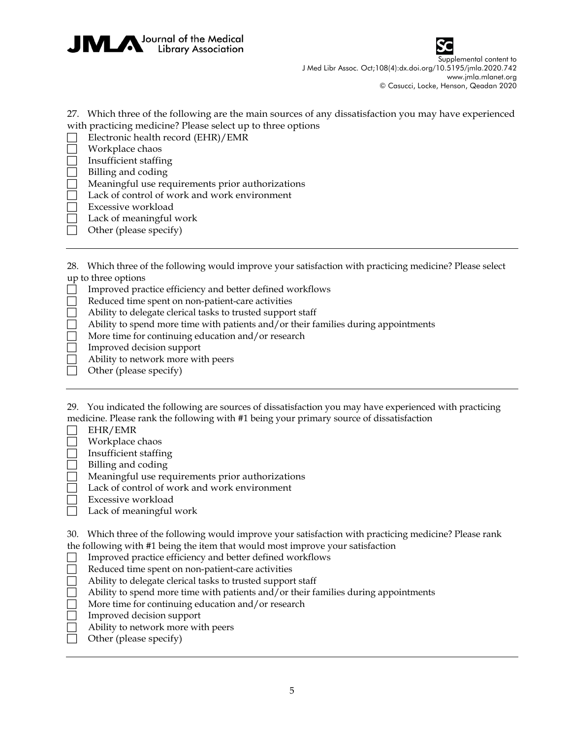



27. Which three of the following are the main sources of any dissatisfaction you may have experienced with practicing medicine? Please select up to three options

Electronic health record (EHR)/EMR

Workplace chaos

Insufficient staffing

Billing and coding

Meaningful use requirements prior authorizations

Lack of control of work and work environment

Excessive workload

Lack of meaningful work

- $\Box$  Other (please specify)
- 28. Which three of the following would improve your satisfaction with practicing medicine? Please select up to three options

Improved practice efficiency and better defined workflows

Reduced time spent on non-patient-care activities

Ability to delegate clerical tasks to trusted support staff

Ability to spend more time with patients and/or their families during appointments

More time for continuing education and/or research

Improved decision support

Ability to network more with peers

Other (please specify)

29. You indicated the following are sources of dissatisfaction you may have experienced with practicing medicine. Please rank the following with #1 being your primary source of dissatisfaction

 $\Box$  EHR/EMR

Workplace chaos

Insufficient staffing

Billing and coding

Meaningful use requirements prior authorizations

Lack of control of work and work environment

Excessive workload

Lack of meaningful work

30. Which three of the following would improve your satisfaction with practicing medicine? Please rank the following with #1 being the item that would most improve your satisfaction

Improved practice efficiency and better defined workflows

Reduced time spent on non-patient-care activities

Ability to delegate clerical tasks to trusted support staff

Ability to spend more time with patients and/or their families during appointments

More time for continuing education and/or research

Improved decision support

Ability to network more with peers

Other (please specify)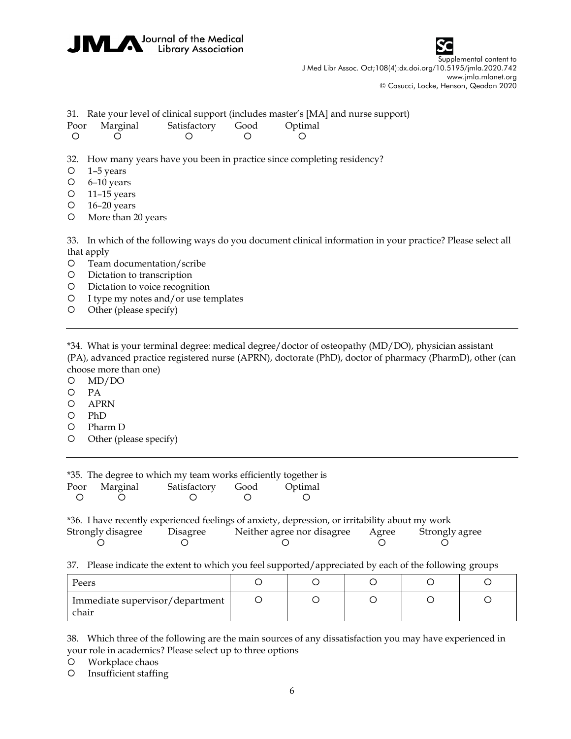



31. Rate your level of clinical support (includes master's [MA] and nurse support)

|     | Poor Marginal | Satisfactory | Good | Optimal |
|-----|---------------|--------------|------|---------|
| - 0 |               |              |      |         |

32. How many years have you been in practice since completing residency?

- 1–5 years
- 6–10 years
- 11–15 years
- 16–20 years
- More than 20 years

33. In which of the following ways do you document clinical information in your practice? Please select all that apply

- Team documentation/scribe
- Dictation to transcription
- Dictation to voice recognition
- I type my notes and/or use templates
- Other (please specify)

\*34. What is your terminal degree: medical degree/doctor of osteopathy (MD/DO), physician assistant (PA), advanced practice registered nurse (APRN), doctorate (PhD), doctor of pharmacy (PharmD), other (can choose more than one)

- MD/DO
- O PA
- APRN
- PhD
- Pharm D
- Other (please specify)

| *35. The degree to which my team works efficiently together is |               |                           |                  |                  |  |  |  |
|----------------------------------------------------------------|---------------|---------------------------|------------------|------------------|--|--|--|
|                                                                | Poor Marginal | Satisfactory Good Optimal |                  |                  |  |  |  |
| $\bigcap$                                                      |               | $\left( \right)$          | $\left( \right)$ | $\left( \right)$ |  |  |  |

| *36. I have recently experienced feelings of anxiety, depression, or irritability about my work |                 |                            |       |                |  |  |  |
|-------------------------------------------------------------------------------------------------|-----------------|----------------------------|-------|----------------|--|--|--|
| Strongly disagree                                                                               | <i>Disagree</i> | Neither agree nor disagree | Agree | Strongly agree |  |  |  |
|                                                                                                 |                 |                            |       |                |  |  |  |

| 37. Please indicate the extent to which you feel supported/appreciated by each of the following groups |  |  |
|--------------------------------------------------------------------------------------------------------|--|--|

| Peers                                      |  |  |  |
|--------------------------------------------|--|--|--|
| Immediate supervisor/department  <br>chair |  |  |  |

38. Which three of the following are the main sources of any dissatisfaction you may have experienced in your role in academics? Please select up to three options

Workplace chaos

Insufficient staffing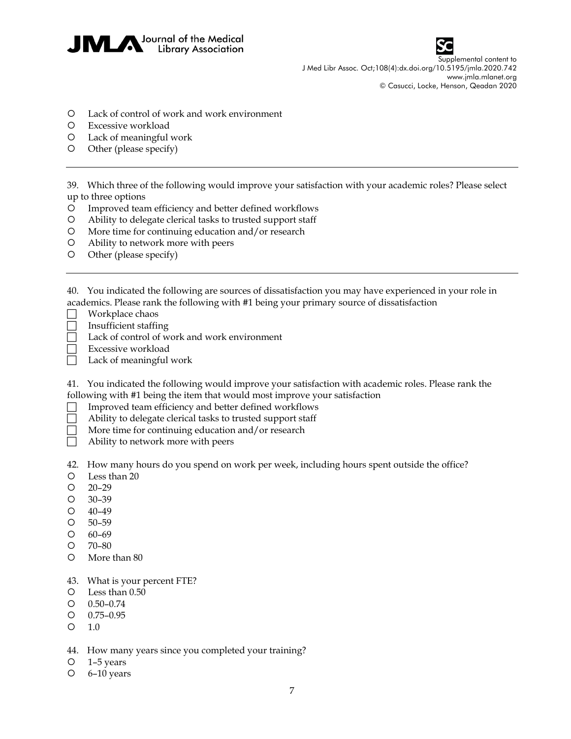



- Lack of control of work and work environment
- Excessive workload
- Lack of meaningful work
- Other (please specify)

39. Which three of the following would improve your satisfaction with your academic roles? Please select up to three options

- Improved team efficiency and better defined workflows
- Ability to delegate clerical tasks to trusted support staff
- More time for continuing education and/or research
- Ability to network more with peers
- Other (please specify)

40. You indicated the following are sources of dissatisfaction you may have experienced in your role in academics. Please rank the following with #1 being your primary source of dissatisfaction

- Workplace chaos
- Insufficient staffing
- Lack of control of work and work environment
- Excessive workload
- Lack of meaningful work

41. You indicated the following would improve your satisfaction with academic roles. Please rank the following with #1 being the item that would most improve your satisfaction

Improved team efficiency and better defined workflows

Ability to delegate clerical tasks to trusted support staff

- More time for continuing education and/or research
- Ability to network more with peers

42. How many hours do you spend on work per week, including hours spent outside the office?

- Less than 20
- $O$   $20-29$
- $O$  30–39
- 40–49
- 50–59
- 60–69
- 70–80
- More than 80
- 43. What is your percent FTE?
- Less than 0.50
- 0.50–0.74
- 0.75–0.95
- $O_1$  1.0
- 44. How many years since you completed your training?
- 1–5 years
- 6–10 years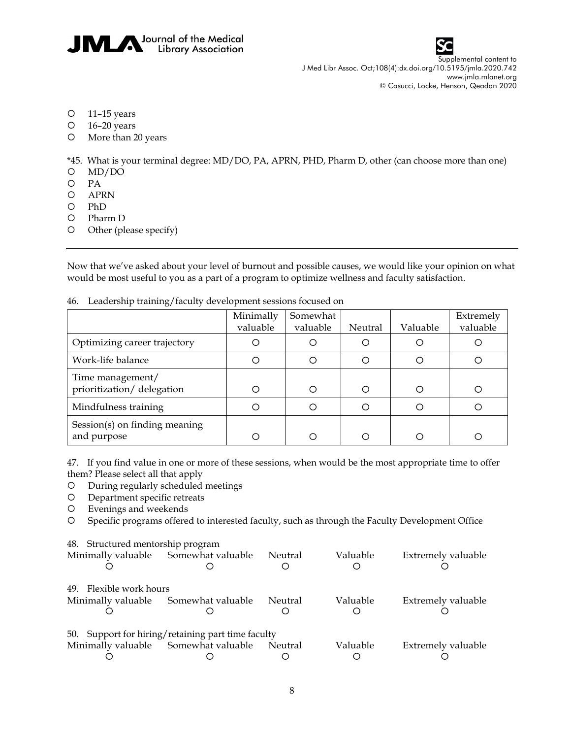



- 11–15 years
- 16–20 years
- More than 20 years

\*45. What is your terminal degree: MD/DO, PA, APRN, PHD, Pharm D, other (can choose more than one)

- MD/DO
- O PA
- APRN
- PhD
- Pharm D
- O Other (please specify)

Now that we've asked about your level of burnout and possible causes, we would like your opinion on what would be most useful to you as a part of a program to optimize wellness and faculty satisfaction.

|                                               | Minimally<br>valuable | Somewhat<br>valuable | Neutral | Valuable | Extremely<br>valuable |
|-----------------------------------------------|-----------------------|----------------------|---------|----------|-----------------------|
| Optimizing career trajectory                  |                       |                      |         |          |                       |
| Work-life balance                             |                       |                      | ⊂       |          |                       |
| Time management/<br>prioritization/delegation |                       |                      | ∩       |          |                       |
| Mindfulness training                          |                       |                      |         |          |                       |
| Session(s) on finding meaning<br>and purpose  |                       |                      |         |          |                       |

46. Leadership training/faculty development sessions focused on

47. If you find value in one or more of these sessions, when would be the most appropriate time to offer them? Please select all that apply

- During regularly scheduled meetings
- Department specific retreats
- Evenings and weekends
- Specific programs offered to interested faculty, such as through the Faculty Development Office

| 48. Structured mentorship program    |                                                    |         |          |                    |
|--------------------------------------|----------------------------------------------------|---------|----------|--------------------|
| Minimally valuable Somewhat valuable |                                                    | Neutral | Valuable | Extremely valuable |
|                                      |                                                    |         |          |                    |
| 49. Flexible work hours              |                                                    |         |          |                    |
| Minimally valuable                   | Somewhat valuable                                  | Neutral | Valuable | Extremely valuable |
|                                      |                                                    |         |          |                    |
|                                      | 50. Support for hiring/retaining part time faculty |         |          |                    |
| Minimally valuable Somewhat valuable |                                                    | Neutral | Valuable | Extremely valuable |
|                                      |                                                    |         |          |                    |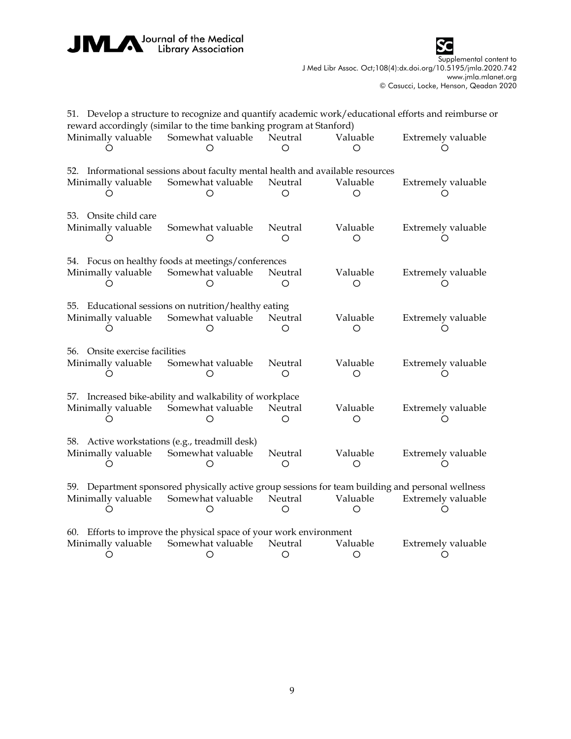



Supplemental content to J Med Libr Assoc. Oct;108(4):dx.doi.org/10.5195/jmla.2020.742 www.jmla.mlanet.org

© Casucci, Locke, Henson, Qeadan 2020

|                                                                                                   | reward accordingly (similar to the time banking program at Stanford)           |              |               | 51. Develop a structure to recognize and quantify academic work/educational efforts and reimburse or |  |  |
|---------------------------------------------------------------------------------------------------|--------------------------------------------------------------------------------|--------------|---------------|------------------------------------------------------------------------------------------------------|--|--|
| Minimally valuable                                                                                | Somewhat valuable                                                              | Neutral      | Valuable<br>O | Extremely valuable                                                                                   |  |  |
|                                                                                                   | 52. Informational sessions about faculty mental health and available resources |              |               |                                                                                                      |  |  |
| Minimally valuable                                                                                | Somewhat valuable                                                              | Neutral<br>∩ | Valuable<br>∩ | Extremely valuable                                                                                   |  |  |
| 53. Onsite child care<br>Minimally valuable                                                       | Somewhat valuable                                                              | Neutral<br>∩ | Valuable<br>∩ | Extremely valuable                                                                                   |  |  |
|                                                                                                   | 54. Focus on healthy foods at meetings/conferences                             |              |               |                                                                                                      |  |  |
| Minimally valuable                                                                                | Somewhat valuable                                                              | Neutral<br>◯ | Valuable<br>∩ | Extremely valuable                                                                                   |  |  |
| Minimally valuable                                                                                | 55. Educational sessions on nutrition/healthy eating<br>Somewhat valuable      | Neutral<br>∩ | Valuable      | Extremely valuable                                                                                   |  |  |
| 56. Onsite exercise facilities<br>Minimally valuable                                              | Somewhat valuable                                                              | Neutral      | Valuable      | Extremely valuable                                                                                   |  |  |
|                                                                                                   |                                                                                | O            | ∩             |                                                                                                      |  |  |
| 57. Increased bike-ability and walkability of workplace                                           |                                                                                |              |               |                                                                                                      |  |  |
| Minimally valuable                                                                                | Somewhat valuable                                                              | Neutral<br>∩ | Valuable<br>O | Extremely valuable                                                                                   |  |  |
| 58. Active workstations (e.g., treadmill desk)                                                    |                                                                                |              |               |                                                                                                      |  |  |
| Minimally valuable                                                                                | Somewhat valuable                                                              | Neutral<br>∩ | Valuable<br>∩ | Extremely valuable                                                                                   |  |  |
| 59. Department sponsored physically active group sessions for team building and personal wellness |                                                                                |              |               |                                                                                                      |  |  |
| Minimally valuable                                                                                | Somewhat valuable                                                              | Neutral<br>∩ | Valuable      | Extremely valuable                                                                                   |  |  |
| 60. Efforts to improve the physical space of your work environment                                |                                                                                |              |               |                                                                                                      |  |  |
| Minimally valuable<br>O                                                                           | Somewhat valuable<br>◯                                                         | Neutral<br>O | Valuable<br>O | Extremely valuable<br>◯                                                                              |  |  |